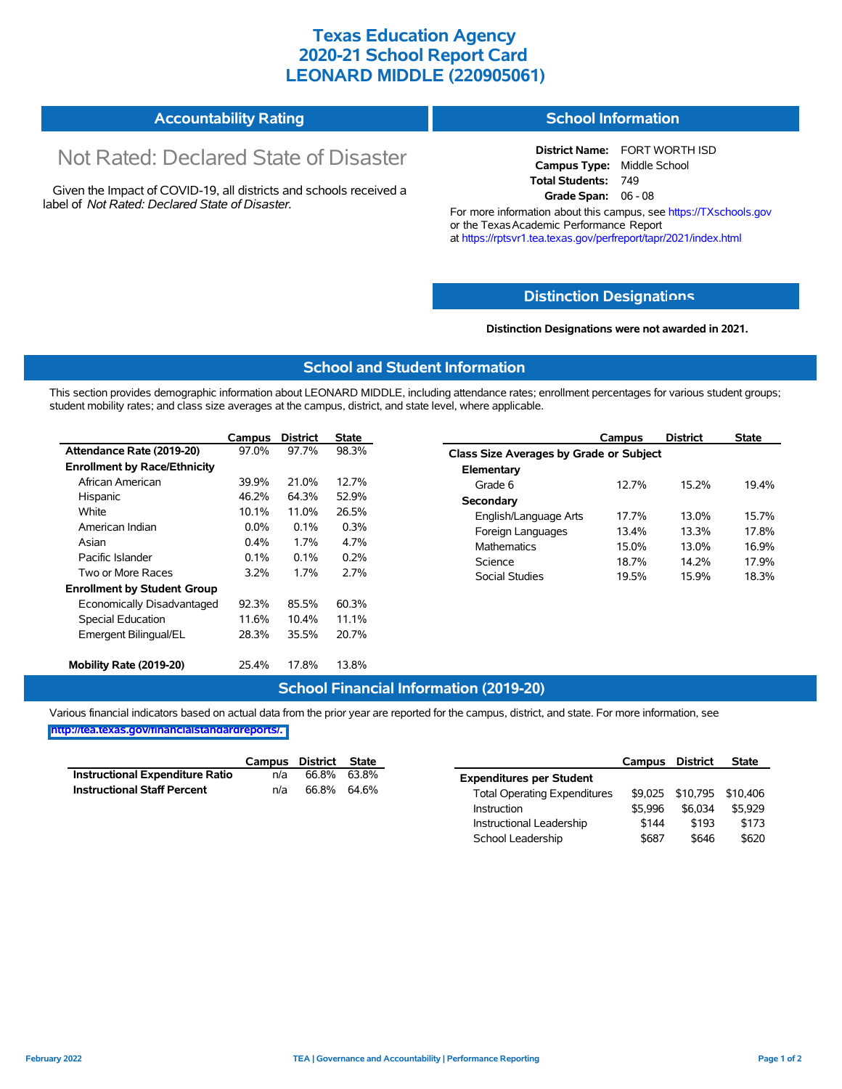## **Texas Education Agency 2020-21 School Report Card LEONARD MIDDLE (220905061)**

#### **Accountability Rating School Information**

# Not Rated: Declared State of Disaster

Given the Impact of COVID-19, all districts and schools received a label of *Not Rated: Declared State of Disaster.*

**District Name:** FORT WORTH ISD **Campus Type:** Middle School **Total Students:** 749 **Grade Span:** 06 - 08

For more information about this campus, see https://TXschools.gov or the Texas Academic Performance Report at https://rptsvr1.tea.texas.gov/perfreport/tapr/2021/index.html

#### **Distinction Designat[ions](https://TXschools.gov)**

**Distinction Designations were not awarded in 2021.**

School Leadership  $$687$  \$646 \$620

#### **School and Student Information**

This section provides demographic information about LEONARD MIDDLE, including attendance rates; enrollment percentages for various student groups; student mobility rates; and class size averages at the campus, district, and state level, where applicable.

|                                     | Campus                                                                                           | <b>District</b>                | <b>State</b>     | Campus                  | <b>District</b>                         | <b>State</b> |  |  |  |
|-------------------------------------|--------------------------------------------------------------------------------------------------|--------------------------------|------------------|-------------------------|-----------------------------------------|--------------|--|--|--|
| Attendance Rate (2019-20)           | 97.0%                                                                                            | 97.7%                          | 98.3%            |                         | Class Size Averages by Grade or Subject |              |  |  |  |
| <b>Enrollment by Race/Ethnicity</b> |                                                                                                  |                                |                  | Elementary              |                                         |              |  |  |  |
| African American                    | 39.9%                                                                                            | 21.0%                          | 12.7%<br>Grade 6 |                         | 15.2%<br>12.7%                          | 19.4%        |  |  |  |
| Hispanic                            | 46.2%                                                                                            | 64.3%                          | 52.9%            | Secondary               |                                         |              |  |  |  |
| White                               | 10.1%<br>26.5%<br>11.0%<br>0.3%<br>$0.0\%$<br>0.1%<br>1.7%<br>4.7%<br>0.4%<br><b>Mathematics</b> | English/Language Arts<br>17.7% | 13.0%            | 15.7%                   |                                         |              |  |  |  |
| American Indian                     |                                                                                                  | Foreign Languages<br>13.4%     | 13.3%            | 17.8%                   |                                         |              |  |  |  |
| Asian                               |                                                                                                  | 15.0%                          | 13.0%            | 16.9%<br>17.9%          |                                         |              |  |  |  |
| Pacific Islander                    | 0.2%<br>0.1%<br>0.1%<br>Science                                                                  |                                | 18.7%            |                         | 14.2%                                   |              |  |  |  |
| Two or More Races                   | 3.2%                                                                                             | 1.7%                           | 2.7%             | Social Studies<br>19.5% | 15.9%                                   | 18.3%        |  |  |  |
| <b>Enrollment by Student Group</b>  |                                                                                                  |                                |                  |                         |                                         |              |  |  |  |
| Economically Disadvantaged          | 92.3%                                                                                            | 85.5%                          | 60.3%            |                         |                                         |              |  |  |  |
| Special Education                   | 11.6%                                                                                            | 10.4%                          | 11.1%            |                         |                                         |              |  |  |  |
| Emergent Bilingual/EL               | 28.3%                                                                                            | 35.5%                          | 20.7%            |                         |                                         |              |  |  |  |
|                                     |                                                                                                  |                                |                  |                         |                                         |              |  |  |  |
| Mobility Rate (2019-20)             | 25.4%                                                                                            | 17.8%                          | 13.8%            |                         |                                         |              |  |  |  |

#### **School Financial Information (2019-20)**

Various financial indicators based on actual data from the prior year are reported for the campus, district, and state. For more information, see

**[http://tea.texas.gov/financialstandardreports/.](http://tea.texas.gov/financialstandardreports/)**

|                                        | Campus | District | State |                                     | Campus  | <b>District</b>           | <b>State</b> |
|----------------------------------------|--------|----------|-------|-------------------------------------|---------|---------------------------|--------------|
| <b>Instructional Expenditure Ratio</b> | n/a    | 66.8%    | 63.8% | <b>Expenditures per Student</b>     |         |                           |              |
| <b>Instructional Staff Percent</b>     | n/a    | 66.8%    | 64.6% | <b>Total Operating Expenditures</b> |         | \$9,025 \$10,795 \$10,406 |              |
|                                        |        |          |       | Instruction                         | \$5.996 | \$6.034                   | \$5.929      |
|                                        |        |          |       | Instructional Leadership            | \$144   | \$193                     | \$173        |